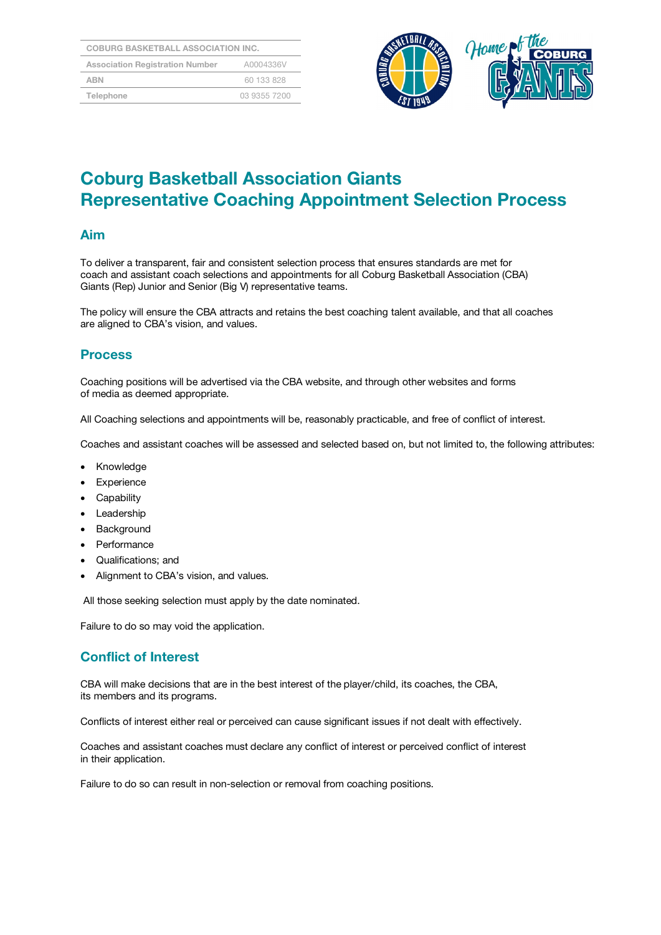| <b>COBURG BASKETBALL ASSOCIATION INC.</b> |              |  |
|-------------------------------------------|--------------|--|
| <b>Association Registration Number</b>    | A0004336V    |  |
| <b>ABN</b>                                | 60 133 828   |  |
| Telephone                                 | 03 9355 7200 |  |



# Coburg Basketball Association Giants Representative Coaching Appointment Selection Process

#### Aim

To deliver a transparent, fair and consistent selection process that ensures standards are met for coach and assistant coach selections and appointments for all Coburg Basketball Association (CBA) Giants (Rep) Junior and Senior (Big V) representative teams.

The policy will ensure the CBA attracts and retains the best coaching talent available, and that all coaches are aligned to CBA's vision, and values.

#### **Process**

Coaching positions will be advertised via the CBA website, and through other websites and forms of media as deemed appropriate.

All Coaching selections and appointments will be, reasonably practicable, and free of conflict of interest.

Coaches and assistant coaches will be assessed and selected based on, but not limited to, the following attributes:

- Knowledge
- Experience
- Capability
- Leadership
- **Background**
- Performance
- Qualifications; and
- Alignment to CBA's vision, and values.

All those seeking selection must apply by the date nominated.

Failure to do so may void the application.

#### Conflict of Interest

CBA will make decisions that are in the best interest of the player/child, its coaches, the CBA, its members and its programs.

Conflicts of interest either real or perceived can cause significant issues if not dealt with effectively.

Coaches and assistant coaches must declare any conflict of interest or perceived conflict of interest in their application.

Failure to do so can result in non-selection or removal from coaching positions.